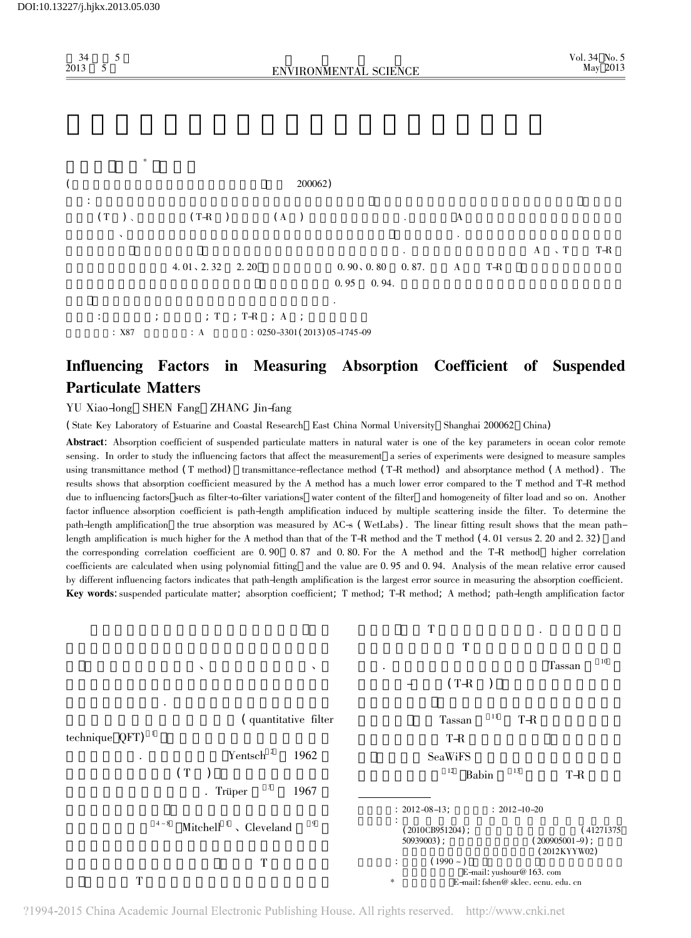34卷第 <sup>5</sup>

2013



5 5<br>ENVIRONMENTAL SCIENCE

## Influencing Factors in Measuring Absorption Coefficient of Suspended Particulate Matters

## YU Xiao-long SHEN Fang ZHANG Jin-fang

( State Key Laboratory of Estuarine and Coastal Research East China Normal University Shanghai <sup>200062</sup> China)

Abstract: Absorption coefficient of suspended particulate matters in natural water is one of the key parameters in ocean color remote sensing. In order to study the influencing factors that affect the measurement a series of experiments were designed to measure samples transmittance method (T method) transmittance-reflectance method (T-R method) and absorptance method (A method). The shows that absorption coefficient measured by the <sup>A</sup> method has <sup>a</sup> much lower error compared to the <sup>T</sup> method and T-R method due to influencing factors such as filter-to-filter variations water content of the filter and homogeneity of filter load and so on. Another factor influence absorption coefficient is path-length amplification induced by multiple scattering inside the filter. To determine the path-length amplification the true absorption was measured by AC-s ( WetLabs) . The linear fitting result shows that the mean pathlength amplification is much higher for the A method than that of the T-R method and the T method (4. 01 versus 2. 20 and 2. 32) and and the T-R method in method is much higher for the A method than that of the T-R method the corresponding correlation coefficient are 0. <sup>90</sup> 0. <sup>87</sup> and 0. 80. For the <sup>A</sup> method and the T-R method higher correlation coefficients are calculated when using polynomial fitting and the value are 0. <sup>95</sup> and 0. 94. Analysis of the mean relative error caused by different influencing factors indicates that path-length amplification is the largest error source in measuring the absorption coefficient. Key words: suspended particulate matter; absorption coefficient; <sup>T</sup> method; T-R method; <sup>A</sup> method; path-length amplification factor



?1994-2015 China Academic Journal Electronic Publishing House. All rights reserved. http://www.cnki.net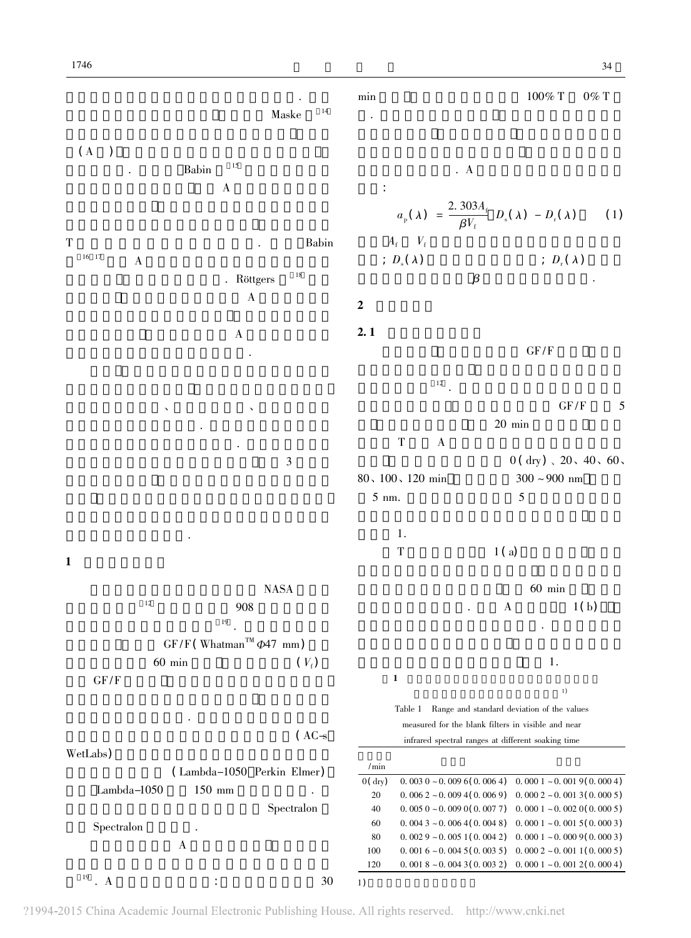|                                                         | 14<br>Maske                               | min                                                                                                      |                                                                                                                    | $100\%$ T                                  | $0\%$ T                                                                                                          |
|---------------------------------------------------------|-------------------------------------------|----------------------------------------------------------------------------------------------------------|--------------------------------------------------------------------------------------------------------------------|--------------------------------------------|------------------------------------------------------------------------------------------------------------------|
| (A)<br>15<br>Babin<br>$\mathbf A$                       |                                           | $\ddot{\cdot}$                                                                                           | $\cdot$ A<br>$a_{\rm p}(\lambda) = \frac{2.303A_{\rm f}}{\beta V_{\rm f}} D_{\rm s}(\lambda) - D_{\rm r}(\lambda)$ |                                            | (1)                                                                                                              |
| $\mathbf T$<br>$16 \t17$<br>$\boldsymbol{\mathrm{A}}$   | Babin<br>$18\,$<br>. Röttgers<br>$\bf{A}$ | $\mathbf 2$                                                                                              | $A_{\rm f}$ $-V_{\rm f}$<br>; $D_{\rm s}(\lambda)$<br>$\beta$                                                      |                                            | ; $D_{\rm r}(\lambda)$                                                                                           |
| $\mathbf A$                                             |                                           | 2.1                                                                                                      |                                                                                                                    | GF/F                                       |                                                                                                                  |
|                                                         | 3                                         |                                                                                                          | $12$<br>$\mathbf T$<br>$\bf{A}$                                                                                    | $20$ min                                   | GF/F<br>5<br>$0(dry)$ , $20$ , $40$ , $60$ ,                                                                     |
|                                                         |                                           | $5 \text{ nm}.$                                                                                          | $80, 100, 120$ min<br>1.<br>$\mathbf T$                                                                            | $300\sim900$ nm<br>$\mathfrak{S}$<br>1(a)  |                                                                                                                  |
| $\mathbf{1}$                                            |                                           |                                                                                                          |                                                                                                                    |                                            |                                                                                                                  |
| 12<br>19                                                | <b>NASA</b><br>908                        |                                                                                                          |                                                                                                                    | $60$ min<br>$\boldsymbol{\mathrm{A}}$      | 1(b)                                                                                                             |
| $GF/F$ (Whatman <sup>TM</sup> $\Phi$ 47 mm)<br>$60$ min | $(V_{\rm f})$                             |                                                                                                          |                                                                                                                    | 1.                                         |                                                                                                                  |
| GF/F                                                    |                                           | $\mathbf{1}$                                                                                             | Table 1                                                                                                            | Range and standard deviation of the values | 1)                                                                                                               |
| WetLabs)                                                | (ACs                                      | measured for the blank filters in visible and near<br>infrared spectral ranges at different soaking time |                                                                                                                    |                                            |                                                                                                                  |
| 150 mm<br>Lambda-1050                                   | (Lambda-1050 Perkin Elmer)<br>Spectralon  | $/$ min<br>0(dry)<br>20<br>40                                                                            | $0.0030 - 0.0096(0.0064)$<br>$0.0062 - 0.0094(0.0069)$<br>$0.0050 - 0.0090(0.0077)$                                |                                            | $0.0001 - 0.0019(0.0004)$<br>$0.0002 - 0.0013(0.0005)$<br>$0.0001 - 0.0020(0.0005)$                              |
| Spectralon<br>$\boldsymbol{A}$                          |                                           | 60<br>80<br>100<br>120                                                                                   | $0.0043 - 0.0064(0.0048)$<br>$0.0029 - 0.0051(0.0042)$<br>$0.0016 - 0.0045(0.0035)$<br>$0.0018 - 0.0043(0.0032)$   |                                            | $0.0001 - 0.0015(0.0003)$<br>$0.0001 - 0.0009(0.0003)$<br>$0.0002 - 0.0011(0.0005)$<br>$0.0001 - 0.0012(0.0004)$ |
| $^{19}$ . A                                             | 30                                        | 1)                                                                                                       |                                                                                                                    |                                            |                                                                                                                  |

?1994-2015 China Academic Journal Electronic Publishing House. All rights reserved. http://www.cnki.net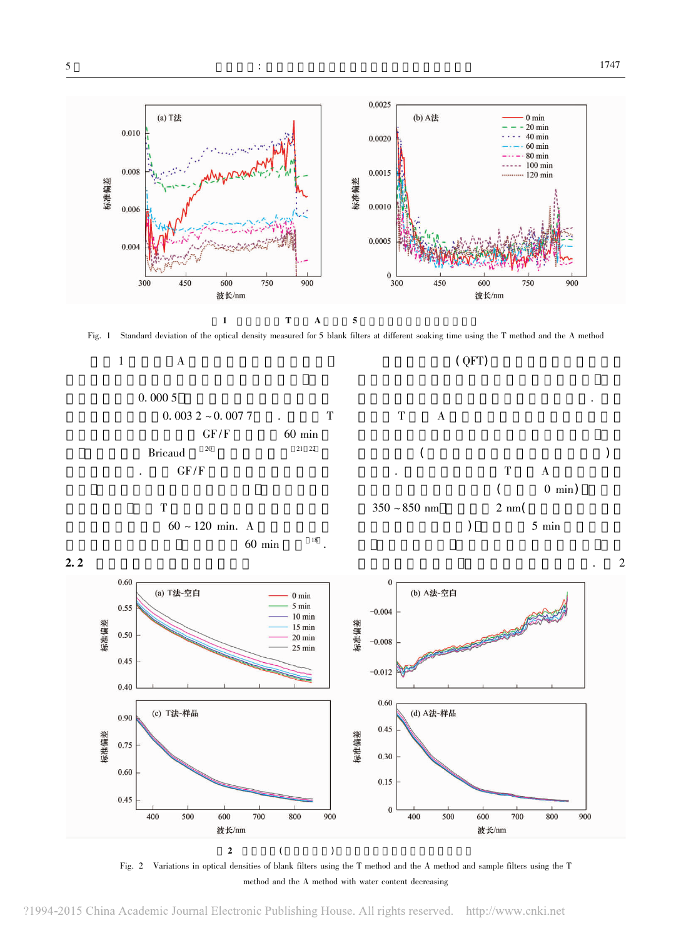

![](_page_2_Figure_4.jpeg)

![](_page_2_Figure_5.jpeg)

![](_page_2_Figure_6.jpeg)

Fig. <sup>2</sup> Variations in optical densities of blank filters using the <sup>T</sup> method and the <sup>A</sup> method and sample filters using the <sup>T</sup> method and the <sup>A</sup> method with water content decreasing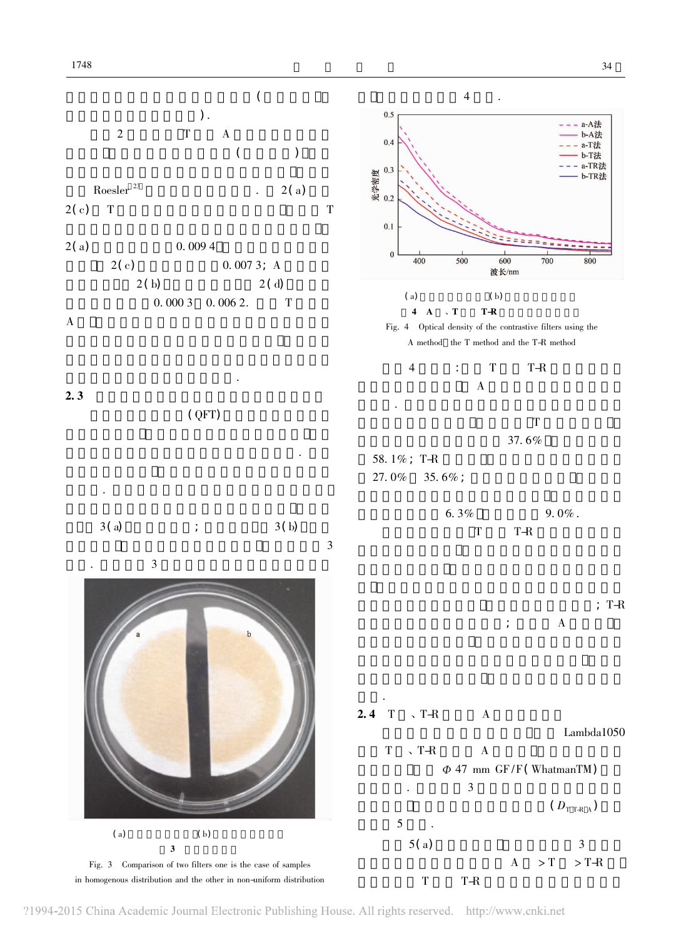![](_page_3_Figure_2.jpeg)

?1994-2015 China Academic Journal Electronic Publishing House. All rights reserved. http://www.cnki.net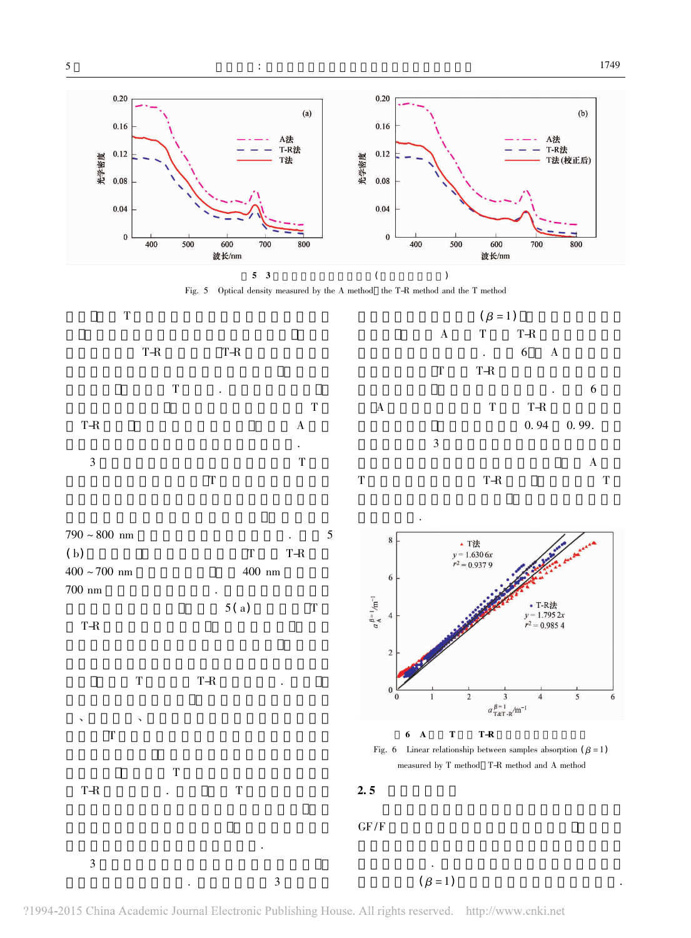![](_page_4_Figure_3.jpeg)

![](_page_4_Figure_5.jpeg)

时存在偏差.

![](_page_4_Figure_6.jpeg)

![](_page_4_Figure_7.jpeg)

的校正函数进行散射校正会更加合理.

T-R

3

 $\mathbf T$ 

 $R$  and the contract of  $T$ 

![](_page_4_Figure_8.jpeg)

## $6$  A T T-R

![](_page_4_Figure_10.jpeg)

 $2.5$ 

GF

 $F/F$ 

 $3 \left( \frac{1}{2} \right)$  $\frac{1}{3}$ 结果进行校正. 光程放大因子的计算方法为样品滤  $(\beta = 1)$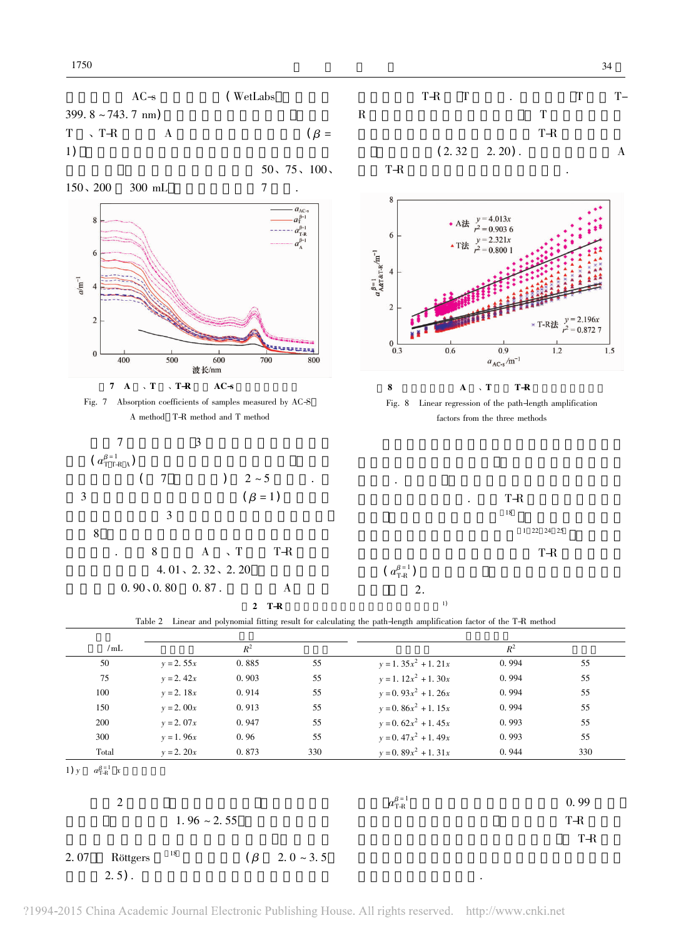34

![](_page_5_Figure_2.jpeg)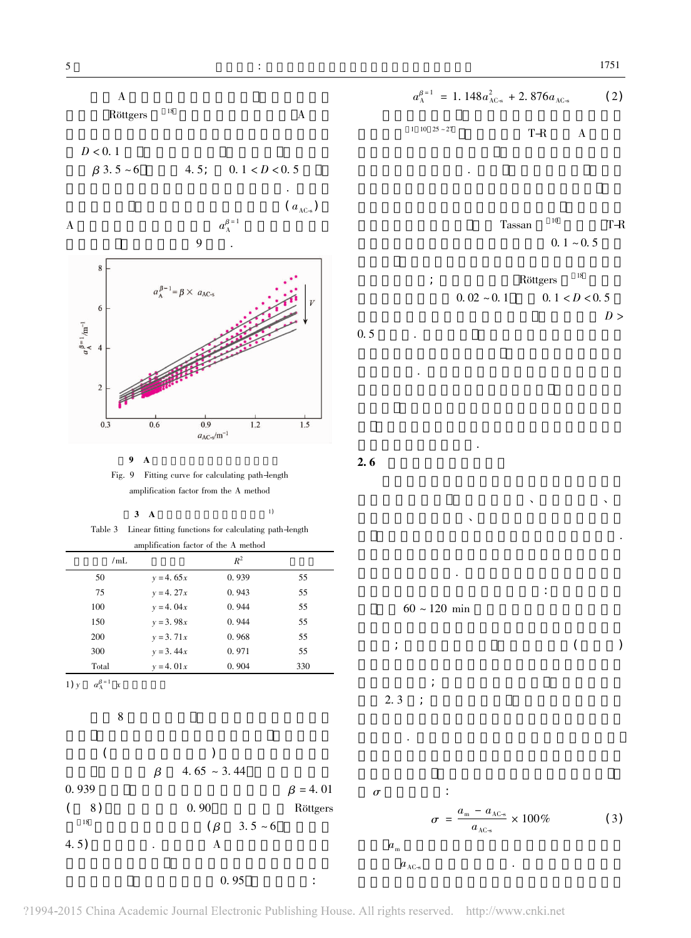![](_page_6_Figure_3.jpeg)

 $\overline{A}$ 

$$
a_{\Lambda}^{\beta=1} = 1.148 a_{\Lambda C_{\infty}}^2 + 2.876 a_{\Lambda C_{\infty}}
$$
 (2)

Tassan  $10 \t\t T-R$ <br>0. 1 ~ 0. 5

因子经验参数; 而对于吸收法 <sup>R</sup>ttgers <sup>18</sup> 给出的 %<br>  $Röttgers<sup>18</sup>$   $0.02 \sim 0.1 \qquad 0.1 < D < 0.5$  $D >$ 

结果的各种因素 如滤膜差异性、滤膜含水量、  $\mathbf{N}$ 这些因素最终会导致吸收系数的测量存在误差. 响并进行误差计算. 研究中各影响因素对吸收系数 测量结果造成误差的计算方法如下: 对于滤膜差异  $\mathcal{L}(\mathcal{L})$ ; the contract of the contract of the contract of the contract of the contract of the contract of the contract of the contract of the contract of the contract of the contract of the contract of the contract  $\frac{1}{2}$ ;  $\frac{1}{2}$ ;  $\frac{1}{2}$ ;  $\frac{1}{2}$ ;  $\frac{1}{2}$ ;  $\frac{1}{2}$ ;  $\frac{1}{2}$ ;  $\frac{1}{2}$ ;  $\frac{1}{2}$ ;  $\frac{1}{2}$ ;  $\frac{1}{2}$ ;  $\frac{1}{2}$ ;  $\frac{1}{2}$ ;  $\frac{1}{2}$ ;  $\frac{1}{2}$ ;  $\frac{1}{2}$ ;  $\frac{1}{2}$ ;  $\frac{1}{2}$ ;  $\frac{1}{2}$ ;  $\frac{1}{2}$ ;  $\overline{\phantom{a}}$  2. 3 ; 果的误差. 至于光程放大因子对测量结果的影响

![](_page_6_Figure_9.jpeg)

?1994-2015 China Academic Journal Electronic Publishing House. All rights reserved. http://www.cnki.net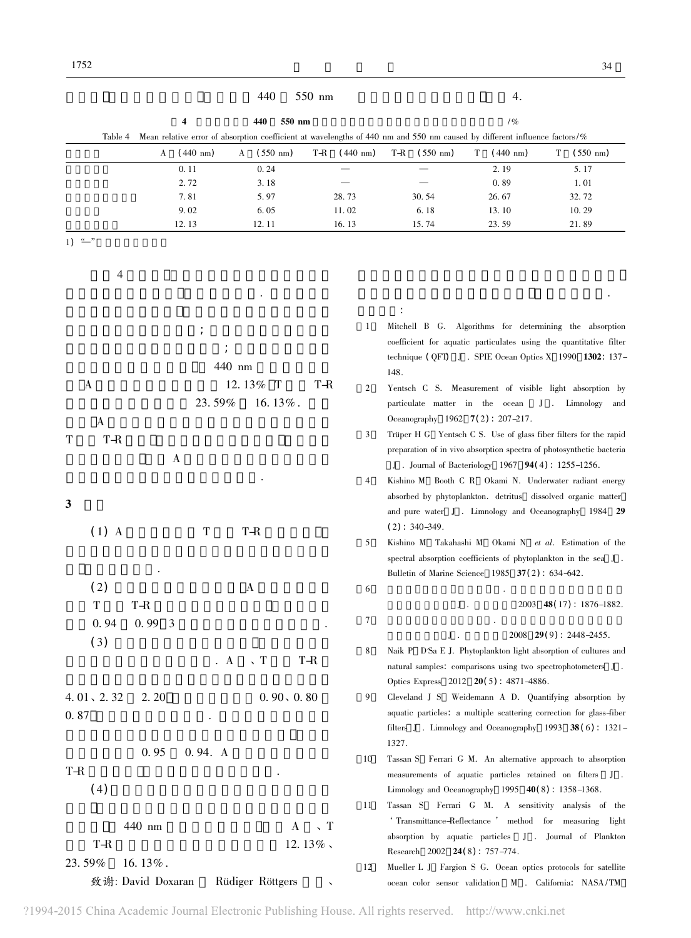| 440                                                                                                                                  | 550 nm             |                                                                     |                                                                                                                         | 4.                                    |  |  |  |
|--------------------------------------------------------------------------------------------------------------------------------------|--------------------|---------------------------------------------------------------------|-------------------------------------------------------------------------------------------------------------------------|---------------------------------------|--|--|--|
| 440<br>550 nm<br>4                                                                                                                   | 1%                 |                                                                     |                                                                                                                         |                                       |  |  |  |
| Mean relative error of absorption coefficient at wavelengths of 440 nm and 550 nm caused by different influence factors/%<br>Table 4 |                    |                                                                     |                                                                                                                         |                                       |  |  |  |
| $(550 \; \text{nm})$<br>$(440 \text{ nm})$<br>Т-R<br>A<br>A                                                                          | $(440 \text{ nm})$ | Т-R<br>$(550 \; \text{nm})$                                         | $(440 \text{ nm})$<br>T                                                                                                 | $(550 \; \text{nm})$<br>Т             |  |  |  |
| 0.11<br>0.24                                                                                                                         |                    |                                                                     | 2.19                                                                                                                    | 5.17                                  |  |  |  |
| 2.72<br>3.18                                                                                                                         |                    |                                                                     | 0.89                                                                                                                    | 1.01                                  |  |  |  |
| 7.81<br>5.97                                                                                                                         | 28.73              | 30.54                                                               | 26.67                                                                                                                   | 32.72                                 |  |  |  |
| 9.02<br>6.05                                                                                                                         | 11.02              | 6.18                                                                | 13.10                                                                                                                   | 10.29                                 |  |  |  |
| 12.13<br>12.11<br>1) $\frac{u}{u}$                                                                                                   | 16.13              | 15.74                                                               | 23.59                                                                                                                   | 21.89                                 |  |  |  |
|                                                                                                                                      |                    |                                                                     |                                                                                                                         |                                       |  |  |  |
|                                                                                                                                      |                    |                                                                     |                                                                                                                         |                                       |  |  |  |
| 4                                                                                                                                    |                    |                                                                     |                                                                                                                         |                                       |  |  |  |
|                                                                                                                                      |                    |                                                                     |                                                                                                                         |                                       |  |  |  |
|                                                                                                                                      |                    |                                                                     |                                                                                                                         |                                       |  |  |  |
| $\cdot$                                                                                                                              | 1                  |                                                                     | Mitchell B G. Algorithms for determining the absorption                                                                 |                                       |  |  |  |
|                                                                                                                                      |                    | coefficient for aquatic particulates using the quantitative filter  |                                                                                                                         |                                       |  |  |  |
| 440 nm                                                                                                                               |                    |                                                                     | technique (QFT) J . SPIE Ocean Optics X 1990 $1302:137-$                                                                |                                       |  |  |  |
| 12.13% T<br>$\bf{A}$<br>Т-R                                                                                                          |                    | 148.                                                                |                                                                                                                         |                                       |  |  |  |
| 23.59%<br>16.13%.                                                                                                                    | $\overline{2}$     | Yentsch C S. Measurement of visible light absorption by             |                                                                                                                         |                                       |  |  |  |
|                                                                                                                                      |                    | particulate matter in the ocean<br>Oceanography 1962 7(2): 207-217. |                                                                                                                         | J. Limnology and                      |  |  |  |
| $\mathbf{A}$                                                                                                                         | 3                  |                                                                     | Trüper H G Yentsch C S. Use of glass fiber filters for the rapid                                                        |                                       |  |  |  |
| Т<br>T-R                                                                                                                             |                    |                                                                     | preparation of in vivo absorption spectra of photosynthetic bacteria                                                    |                                       |  |  |  |
| A                                                                                                                                    |                    |                                                                     | J. Journal of Bacteriology 1967 $94(4)$ : 1255–1256.                                                                    |                                       |  |  |  |
|                                                                                                                                      | 4                  |                                                                     | Kishino M Booth C R Okami N. Underwater radiant energy                                                                  |                                       |  |  |  |
|                                                                                                                                      |                    |                                                                     | absorbed by phytoplankton. detritus dissolved organic matter                                                            |                                       |  |  |  |
| 3                                                                                                                                    |                    |                                                                     | and pure water J. Limnology and Oceanography 1984 29                                                                    |                                       |  |  |  |
| T<br>T-R                                                                                                                             |                    | $(2)$ : 340–349.                                                    |                                                                                                                         |                                       |  |  |  |
| $(1)$ A                                                                                                                              | 5                  | Kishino M Takahashi M Okami N et al. Estimation of the              |                                                                                                                         |                                       |  |  |  |
|                                                                                                                                      |                    |                                                                     | spectral absorption coefficients of phytoplankton in the sea J.                                                         |                                       |  |  |  |
|                                                                                                                                      |                    |                                                                     | Bulletin of Marine Science 1985 37(2): 634-642.                                                                         |                                       |  |  |  |
| (2)<br>A                                                                                                                             | 6                  |                                                                     |                                                                                                                         |                                       |  |  |  |
| $\mathbf T$<br>$\mbox{T-R}$                                                                                                          |                    | $J$ .                                                               |                                                                                                                         | $2003$ 48(17): 1876-1882.             |  |  |  |
| 0.94<br>0.993                                                                                                                        | 7                  |                                                                     |                                                                                                                         |                                       |  |  |  |
| (3)                                                                                                                                  |                    | ${\bf J}$ .                                                         |                                                                                                                         | $2008$ <b>29(9)</b> : $2448 - 2455$ . |  |  |  |
| $\sqrt{T}$<br>T-R<br>$\cdot$ A                                                                                                       | 8                  |                                                                     | Naik P D'Sa E J. Phytoplankton light absorption of cultures and                                                         |                                       |  |  |  |
|                                                                                                                                      |                    |                                                                     | natural samples. comparisons using two spectrophotometers J.                                                            |                                       |  |  |  |
|                                                                                                                                      |                    |                                                                     | Optics Express 2012 20(5): 4871-4886.                                                                                   |                                       |  |  |  |
| 4.01, 2.32<br>2.20<br>0.90, 0.80                                                                                                     | 9                  |                                                                     | Cleveland J S Weidemann A D. Quantifying absorption by                                                                  |                                       |  |  |  |
| 0.87                                                                                                                                 |                    |                                                                     | aquatic particles. a multiple scattering correction for glass-fiber                                                     |                                       |  |  |  |
|                                                                                                                                      |                    |                                                                     | filters J. Limnology and Oceanography 1993 $38(6)$ : 1321-                                                              |                                       |  |  |  |
| 0.95<br>0.94. A                                                                                                                      |                    | 1327.                                                               |                                                                                                                         |                                       |  |  |  |
| T-R                                                                                                                                  | 10                 |                                                                     | Tassan S Ferrari G M. An alternative approach to absorption<br>measurements of aquatic particles retained on filters J. |                                       |  |  |  |
| (4)                                                                                                                                  |                    |                                                                     | Limnology and Oceanography 1995 $40(8)$ : 1358-1368.                                                                    |                                       |  |  |  |
|                                                                                                                                      | 11                 |                                                                     | Tassan S Ferrari G M. A sensitivity analysis of the                                                                     |                                       |  |  |  |
|                                                                                                                                      |                    |                                                                     | 'Transmittance-Reflectance ' method for measuring light                                                                 |                                       |  |  |  |
| 440 nm<br>$\sqrt{T}$<br>A                                                                                                            |                    | absorption by aquatic particles                                     |                                                                                                                         | J . Journal of Plankton               |  |  |  |
| 12.13%.<br>T-R                                                                                                                       |                    | Research 2002 24(8): 757-774.                                       |                                                                                                                         |                                       |  |  |  |
| 23.59%<br>16.13%.                                                                                                                    | 12                 |                                                                     | Mueller L J Fargion S G. Ocean optics protocols for satellite                                                           |                                       |  |  |  |
| 致谢: David Doxaran<br>Rüdiger Röttgers                                                                                                |                    |                                                                     | ocean color sensor validation $\,$ M $\,$ . California: $\,$ NASA/TM $\,$                                               |                                       |  |  |  |